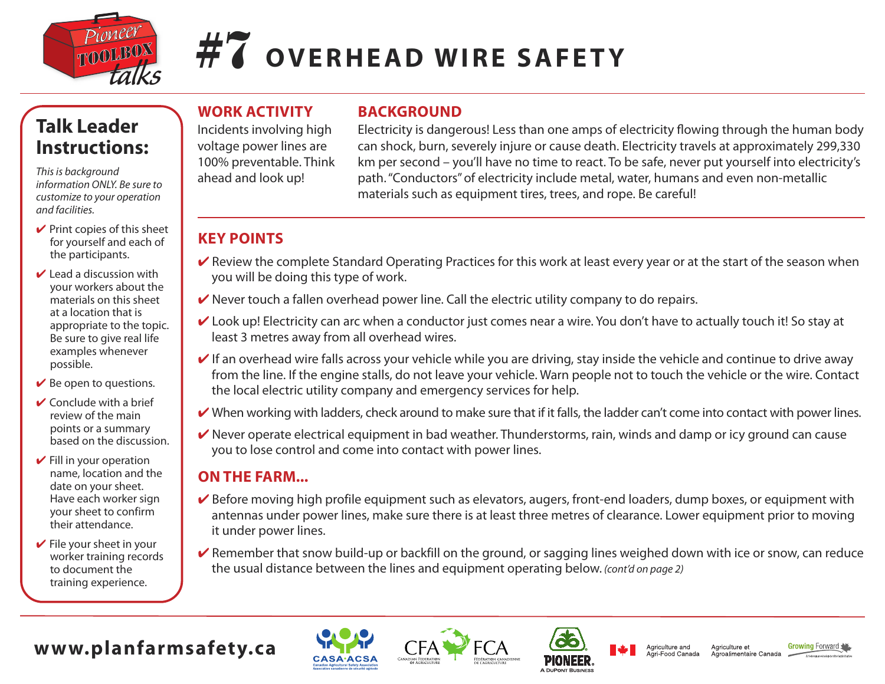

# **#7 OVERHEAD WIRE SAFETY**

# **Talk Leader Instructions:**

*Thisis background information ONLY. Be sure to customize to your operation and facilities.*

- $\vee$  Print copies of this sheet for yourself and each of the participants.
- $\vee$  Lead a discussion with your workers about the materials on this sheet at a location that is appropriate to the topic. Be sure to give real life examples whenever possible.
- $\vee$  Be open to questions.
- $\vee$  Conclude with a brief review of the main points or a summary based on the discussion.
- $\vee$  Fill in your operation name, location and the date on your sheet. Have each worker sign your sheet to confirm their attendance.
- $\vee$  File your sheet in your worker training records to document the training experience.

## **WORK ACTIVITY**

Incidents involving high voltage power lines are 100% preventable. Think ahead and look up!

## **BACKGROUND**

Electricity is dangerous! Less than one amps of electricity flowing through the human body can shock, burn, severely injure or cause death. Electricity travels at approximately 299,330 km per second – you'll have no time to react. To be safe, never put yourself into electricity's path."Conductors"of electricity include metal, water, humans and even non-metallic materials such as equipment tires, trees, and rope. Be careful!

## **KEY POINTS**

- ► Review the complete Standard Operating Practices for this work at least every year or at the start of the season when you will be doing this type of work.
- $\vee$  Never touch a fallen overhead power line. Call the electric utility company to do repairs.
- ► Look up! Electricity can arc when a conductor just comes near a wire. You don't have to actually touch it! So stay at least 3 metres away from all overhead wires.
- $\vee$  If an overhead wire falls across your vehicle while you are driving, stay inside the vehicle and continue to drive away from the line. If the engine stalls, do not leave your vehicle. Warn people not to touch the vehicle or the wire. Contact the local electric utility company and emergency services for help.
- $\vee$  When working with ladders, check around to make sure that if it falls, the ladder can't come into contact with power lines.
- $\vee$  Never operate electrical equipment in bad weather. Thunderstorms, rain, winds and damp or icy ground can cause you to lose control and come into contact with power lines.

#### **ON THE FARM...**

- $\vee$  Before moving high profile equipment such as elevators, augers, front-end loaders, dump boxes, or equipment with antennas under power lines, make sure there is at least three metres of clearance. Lower equipment prior to moving it under power lines.
- $\vee$  Remember that snow build-up or backfill on the ground, or sagging lines weighed down with ice or snow, can reduce the usual distance between the lines and equipment operating below. *(cont'd on page 2)*

# **www.planfarmsafety.ca**